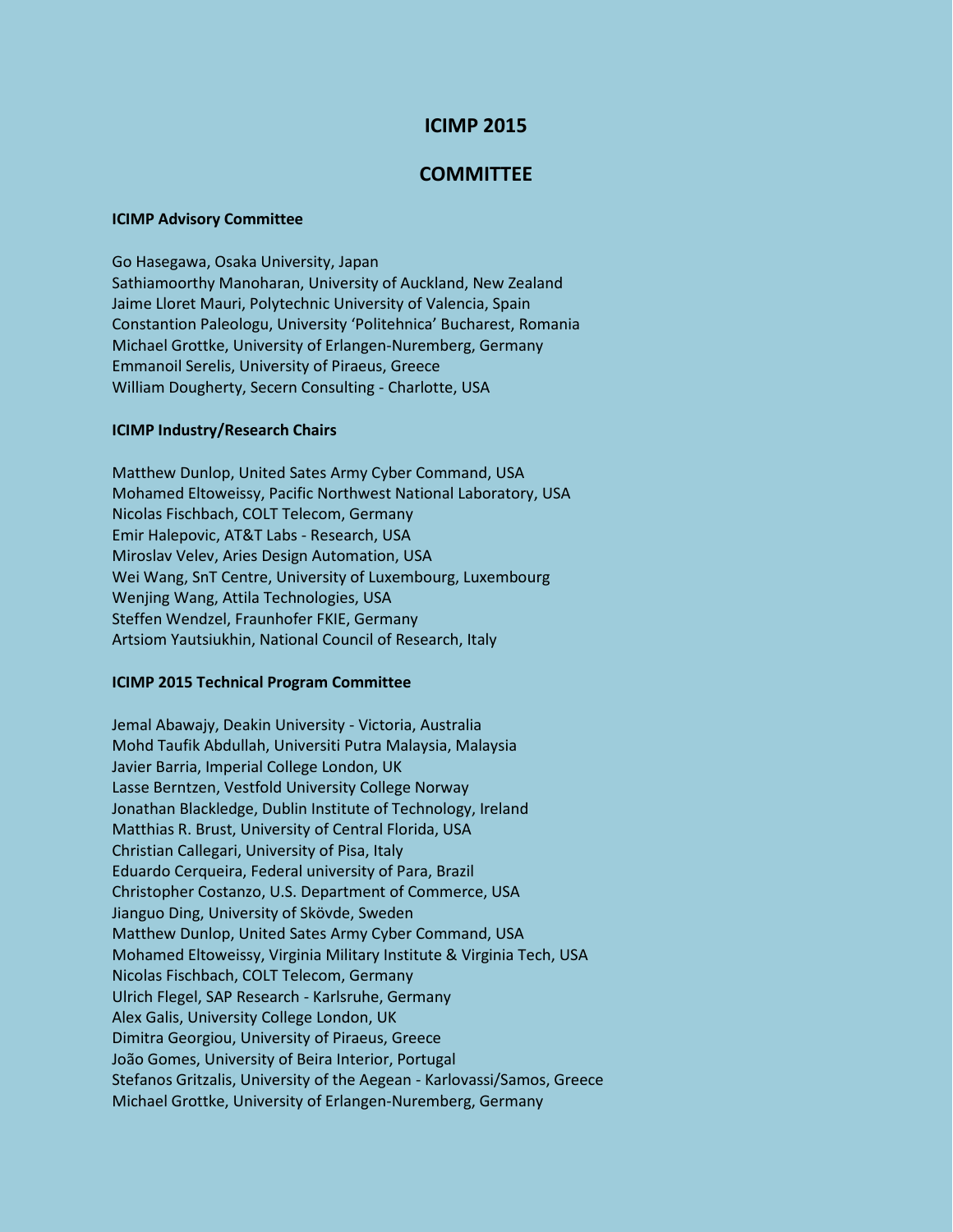# **ICIMP 2015**

## **COMMITTEE**

### **ICIMP Advisory Committee**

Go Hasegawa, Osaka University, Japan Sathiamoorthy Manoharan, University of Auckland, New Zealand Jaime Lloret Mauri, Polytechnic University of Valencia, Spain Constantion Paleologu, University 'Politehnica' Bucharest, Romania Michael Grottke, University of Erlangen-Nuremberg, Germany Emmanoil Serelis, University of Piraeus, Greece William Dougherty, Secern Consulting - Charlotte, USA

#### **ICIMP Industry/Research Chairs**

Matthew Dunlop, United Sates Army Cyber Command, USA Mohamed Eltoweissy, Pacific Northwest National Laboratory, USA Nicolas Fischbach, COLT Telecom, Germany Emir Halepovic, AT&T Labs - Research, USA Miroslav Velev, Aries Design Automation, USA Wei Wang, SnT Centre, University of Luxembourg, Luxembourg Wenjing Wang, Attila Technologies, USA Steffen Wendzel, Fraunhofer FKIE, Germany Artsiom Yautsiukhin, National Council of Research, Italy

#### **ICIMP 2015 Technical Program Committee**

Jemal Abawajy, Deakin University - Victoria, Australia Mohd Taufik Abdullah, Universiti Putra Malaysia, Malaysia Javier Barria, Imperial College London, UK Lasse Berntzen, Vestfold University College Norway Jonathan Blackledge, Dublin Institute of Technology, Ireland Matthias R. Brust, University of Central Florida, USA Christian Callegari, University of Pisa, Italy Eduardo Cerqueira, Federal university of Para, Brazil Christopher Costanzo, U.S. Department of Commerce, USA Jianguo Ding, University of Skövde, Sweden Matthew Dunlop, United Sates Army Cyber Command, USA Mohamed Eltoweissy, Virginia Military Institute & Virginia Tech, USA Nicolas Fischbach, COLT Telecom, Germany Ulrich Flegel, SAP Research - Karlsruhe, Germany Alex Galis, University College London, UK Dimitra Georgiou, University of Piraeus, Greece João Gomes, University of Beira Interior, Portugal Stefanos Gritzalis, University of the Aegean - Karlovassi/Samos, Greece Michael Grottke, University of Erlangen-Nuremberg, Germany